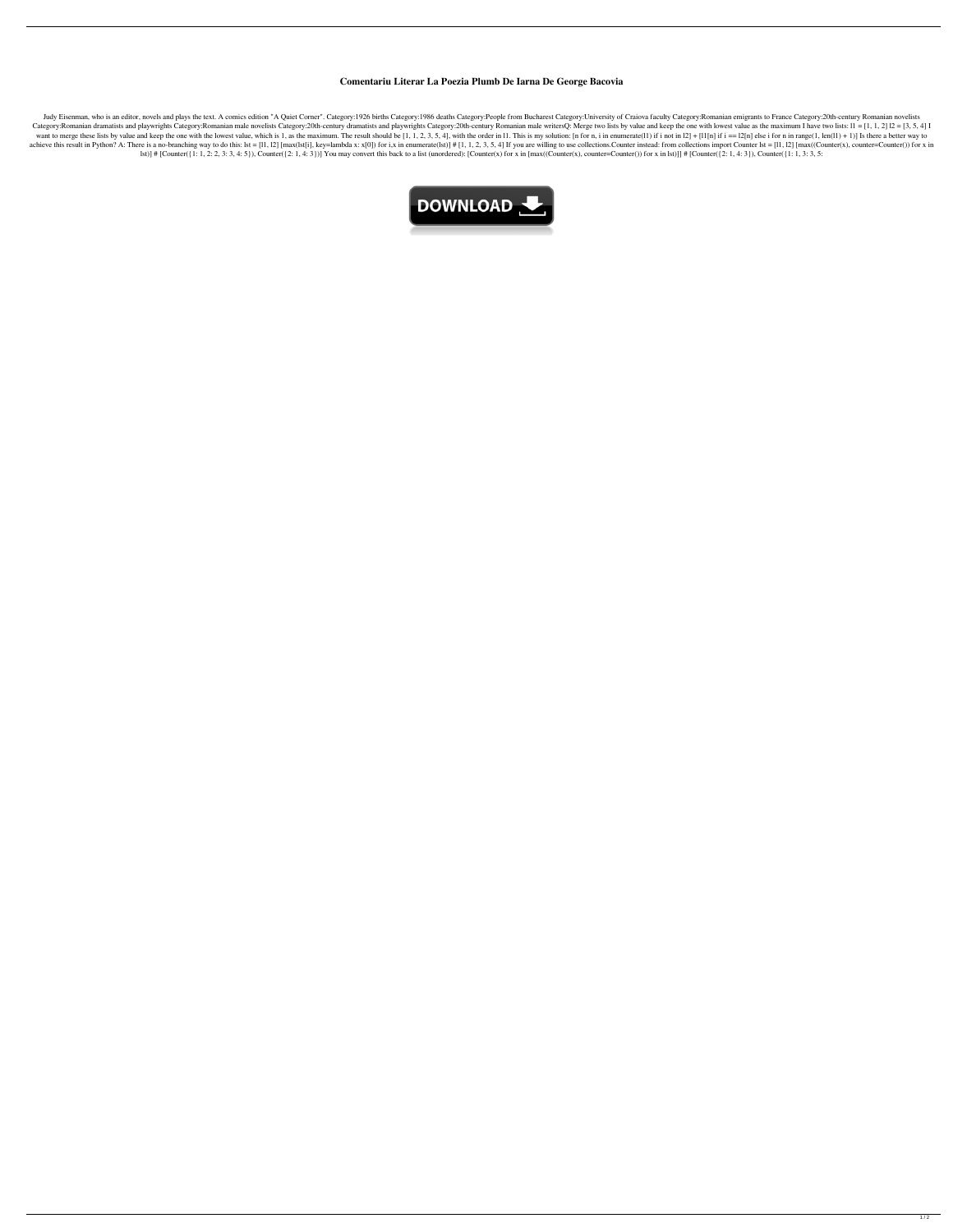## **Comentariu Literar La Poezia Plumb De Iarna De George Bacovia**

Judy Eisenman, who is an editor, novels and plays the text. A comics edition "A Quiet Corner". Category:1926 births Category:1986 deaths Category:People from Bucharest Category:University of Craiova faculty Category:Romani Category:Romanian dramatists and playwrights Category:Romanian male novelists Category:20th-century dramatists and playwrights Category:20th-century Romanian male writersQ: Merge two lists by value and keep the one with lo want to merge these lists by value and keep the one with the lowest value, which is 1, as the maximum. The result should be [1, 1, 2, 3, 5, 4], with the order in 11. This is my solution: [n for n, i in enumerate(11) if i achieve this result in Python? A: There is a no-branching way to do this: lst = [11, 12] [max(lst[i], key=lambda x: x[0]) for i,x in enumerate(lst)] # [1, 1, 2, 3, 5, 4] If you are willing to use collections. Counter inst lst)] # [Counter({1: 1, 2: 2, 3: 3, 4: 5}), Counter({2: 1, 4: 3})] You may convert this back to a list (unordered): [Counter(x) for x in [max((Counter(x), counter=Counter()) for x in lst)]] # [Counter({2: 1, 4: 3}), Count